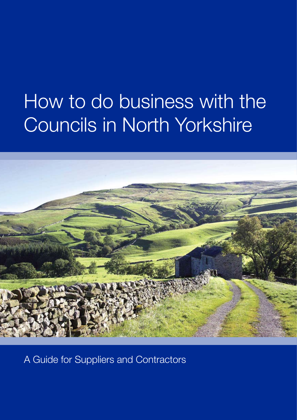# How to do business with the Councils in North Yorkshire



A Guide for Suppliers and Contractors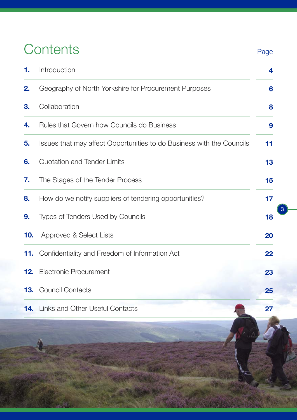## **Contents**

| 1.  | Introduction                                                          | 4  |
|-----|-----------------------------------------------------------------------|----|
| 2.  | Geography of North Yorkshire for Procurement Purposes                 | 6  |
| 3.  | Collaboration                                                         | 8  |
| 4.  | Rules that Govern how Councils do Business                            | 9  |
| 5.  | Issues that may affect Opportunities to do Business with the Councils | 11 |
| 6.  | Quotation and Tender Limits                                           | 13 |
| 7.  | The Stages of the Tender Process                                      | 15 |
| 8.  | How do we notify suppliers of tendering opportunities?                | 17 |
| 9.  | Types of Tenders Used by Councils                                     | 18 |
| 10. | Approved & Select Lists                                               | 20 |
|     | 11. Confidentiality and Freedom of Information Act                    | 22 |
|     | <b>12.</b> Electronic Procurement                                     | 23 |
|     | 13. Council Contacts                                                  | 25 |
|     | <b>14.</b> Links and Other Useful Contacts                            | 27 |

3

Page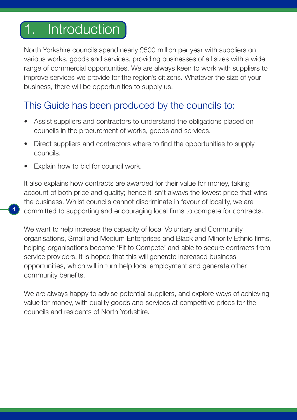## Introduction

North Yorkshire councils spend nearly £500 million per year with suppliers on various works, goods and services, providing businesses of all sizes with a wide range of commercial opportunities. We are always keen to work with suppliers to improve services we provide for the region's citizens. Whatever the size of your business, there will be opportunities to supply us.

## This Guide has been produced by the councils to:

- Assist suppliers and contractors to understand the obligations placed on councils in the procurement of works, goods and services.
- Direct suppliers and contractors where to find the opportunities to supply councils.
- Explain how to bid for council work.

4

It also explains how contracts are awarded for their value for money, taking account of both price and quality; hence it isn't always the lowest price that wins the business. Whilst councils cannot discriminate in favour of locality, we are committed to supporting and encouraging local firms to compete for contracts.

We want to help increase the capacity of local Voluntary and Community organisations, Small and Medium Enterprises and Black and Minority Ethnic firms, helping organisations become 'Fit to Compete' and able to secure contracts from service providers. It is hoped that this will generate increased business opportunities, which will in turn help local employment and generate other community benefits.

We are always happy to advise potential suppliers, and explore ways of achieving value for money, with quality goods and services at competitive prices for the councils and residents of North Yorkshire.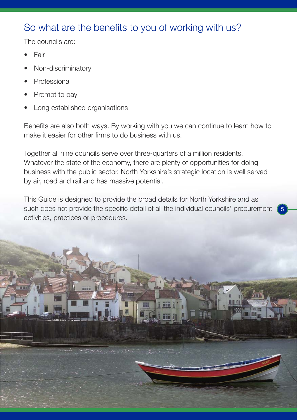## So what are the benefits to you of working with us?

The councils are:

- Fair
- Non-discriminatory
- Professional
- Prompt to pay
- Long established organisations

Benefits are also both ways. By working with you we can continue to learn how to make it easier for other firms to do business with us.

Together all nine councils serve over three-quarters of a million residents. Whatever the state of the economy, there are plenty of opportunities for doing business with the public sector. North Yorkshire's strategic location is well served by air, road and rail and has massive potential.

This Guide is designed to provide the broad details for North Yorkshire and as such does not provide the specific detail of all the individual councils' procurement activities, practices or procedures.

5

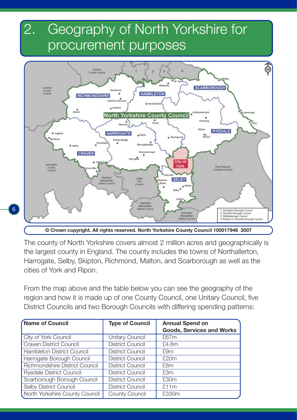## 2. Geography of North Yorkshire for procurement purposes



*©* **Crown copyright. All rights reserved. North Yorkshire County Council 100017946 2007**

6

The county of North Yorkshire covers almost 2 million acres and geographically is the largest county in England. The county includes the towns of Northallerton, Harrogate, Selby, Skipton, Richmond, Malton, and Scarborough as well as the cities of York and Ripon.

From the map above and the table below you can see the geography of the region and how it is made up of one County Council, one Unitary Council, five District Councils and two Borough Councils with differing spending patterns:

| Name of Council                 | <b>Type of Council</b>  | <b>Annual Spend on</b><br><b>Goods, Services and Works</b> |
|---------------------------------|-------------------------|------------------------------------------------------------|
| City of York Council            | Unitary Council         | £67m                                                       |
| <b>Craven District Council</b>  | <b>District Council</b> | £4.6m                                                      |
| Hambleton District Council      | District Council        | £9m                                                        |
| Harrogate Borough Council       | District Council        | £20m                                                       |
| Richmondshire District Council  | District Council        | £8m                                                        |
| <b>Ryedale District Council</b> | District Council        | £3m                                                        |
| Scarborough Borough Council     | District Council        | £30m                                                       |
| Selby District Council          | District Council        | £11m                                                       |
| North Yorkshire County Council  | County Council          | £330m                                                      |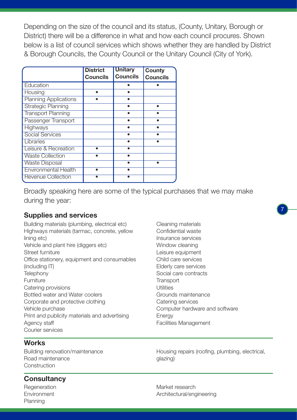Depending on the size of the council and its status, (County, Unitary, Borough or District) there will be a difference in what and how each council procures. Shown below is a list of council services which shows whether they are handled by District & Borough Councils, the County Council or the Unitary Council (City of York).

|                              | <b>District</b><br>Councils | <b>Unitary</b><br><b>Councils</b> | County<br><b>Councils</b> |
|------------------------------|-----------------------------|-----------------------------------|---------------------------|
| Education                    |                             |                                   |                           |
| Housing                      |                             |                                   |                           |
| <b>Planning Applications</b> |                             |                                   |                           |
| Strategic Planning           |                             |                                   |                           |
| <b>Transport Planning</b>    |                             |                                   |                           |
| Passenger Transport          |                             |                                   |                           |
| Highways                     |                             |                                   |                           |
| <b>Social Services</b>       |                             |                                   |                           |
| Libraries                    |                             |                                   |                           |
| Leisure & Recreation         |                             |                                   |                           |
| <b>Waste Collection</b>      |                             |                                   |                           |
| <b>Waste Disposal</b>        |                             |                                   |                           |
| <b>Environmental Health</b>  |                             |                                   |                           |
| <b>Revenue Collection</b>    |                             |                                   |                           |

Broadly speaking here are some of the typical purchases that we may make during the year:

### **Supplies and services**

Building materials (plumbing, electrical etc) Highways materials (tarmac, concrete, yellow lining etc) Vehicle and plant hire (diggers etc) Street furniture Office stationery, equipment and consumables (including IT) **Telephony** Furniture Catering provisions Bottled water and Water coolers Corporate and protective clothing Vehicle purchase Print and publicity materials and advertising Agency staff Courier services

### **Works**

Building renovation/maintenance Road maintenance **Construction** 

### **Consultancy**

**Regeneration** Environment Planning

Cleaning materials Confidential waste Insurance services Window cleaning Leisure equipment Child care services Elderly care services Social care contracts **Transport** Utilities Grounds maintenance Catering services Computer hardware and software Energy Facilities Management

7

Housing repairs (roofing, plumbing, electrical, glazing)

Market research Architectural/engineering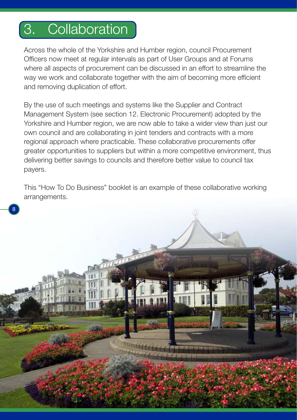## 3. Collaboration

8

Across the whole of the Yorkshire and Humber region, council Procurement Officers now meet at regular intervals as part of User Groups and at Forums where all aspects of procurement can be discussed in an effort to streamline the way we work and collaborate together with the aim of becoming more efficient and removing duplication of effort.

By the use of such meetings and systems like the Supplier and Contract Management System (see section 12. Electronic Procurement) adopted by the Yorkshire and Humber region, we are now able to take a wider view than just our own council and are collaborating in joint tenders and contracts with a more regional approach where practicable. These collaborative procurements offer greater opportunities to suppliers but within a more competitive environment, thus delivering better savings to councils and therefore better value to council tax payers.

This "How To Do Business" booklet is an example of these collaborative working arrangements.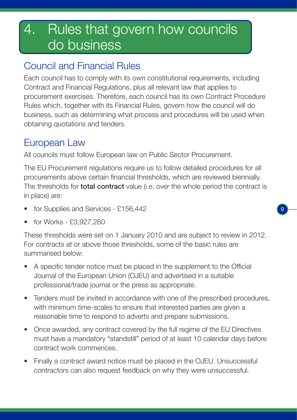## 4. Rules that govern how councils do business

## Council and Financial Rules

Each council has to comply with its own constitutional requirements, including Contract and Financial Regulations, plus all relevant law that applies to procurement exercises. Therefore, each council has its own Contract Procedure Rules which, together with its Financial Rules, govern how the council will do business, such as determining what process and procedures will be used when obtaining quotations and tenders.

## European Law

All councils must follow European law on Public Sector Procurement.

The EU Procurement regulations require us to follow detailed procedures for all procurements above certain financial thresholds, which are reviewed biennially. The thresholds for **total contract** value (i.e. over the whole period the contract is in place) are:

- for Supplies and Services £156,442
- for Works £3,927,260

These thresholds were set on 1 January 2010 and are subject to review in 2012. For contracts at or above those thresholds, some of the basic rules are summarised below:

- A specific tender notice must be placed in the supplement to the Official Journal of the European Union (OJEU) and advertised in a suitable professional/trade journal or the press as appropriate.
- Tenders must be invited in accordance with one of the prescribed procedures, with minimum time-scales to ensure that interested parties are given a reasonable time to respond to adverts and prepare submissions.
- Once awarded, any contract covered by the full regime of the EU Directives must have a mandatory "standstill" period of at least 10 calendar days before contract work commences.
- Finally a contract award notice must be placed in the OJEU. Unsuccessful contractors can also request feedback on why they were unsuccessful.

9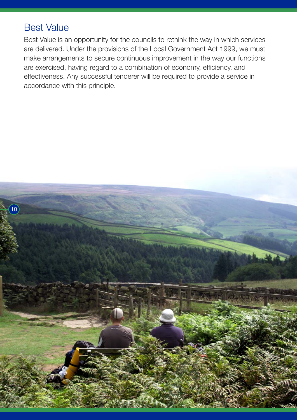## Best Value

Best Value is an opportunity for the councils to rethink the way in which services are delivered. Under the provisions of the Local Government Act 1999, we must make arrangements to secure continuous improvement in the way our functions are exercised, having regard to a combination of economy, efficiency, and effectiveness. Any successful tenderer will be required to provide a service in accordance with this principle.

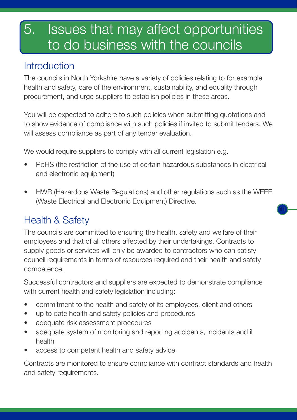## 5. Issues that may affect opportunities to do business with the councils

## **Introduction**

The councils in North Yorkshire have a variety of policies relating to for example health and safety, care of the environment, sustainability, and equality through procurement, and urge suppliers to establish policies in these areas.

You will be expected to adhere to such policies when submitting quotations and to show evidence of compliance with such policies if invited to submit tenders. We will assess compliance as part of any tender evaluation.

We would require suppliers to comply with all current legislation e.g.

- RoHS (the restriction of the use of certain hazardous substances in electrical and electronic equipment)
- HWR (Hazardous Waste Regulations) and other regulations such as the WEEE (Waste Electrical and Electronic Equipment) Directive.

11

## Health & Safety

The councils are committed to ensuring the health, safety and welfare of their employees and that of all others affected by their undertakings. Contracts to supply goods or services will only be awarded to contractors who can satisfy council requirements in terms of resources required and their health and safety competence.

Successful contractors and suppliers are expected to demonstrate compliance with current health and safety legislation including:

- commitment to the health and safety of its employees, client and others
- up to date health and safety policies and procedures
- adequate risk assessment procedures
- adequate system of monitoring and reporting accidents, incidents and ill health
- access to competent health and safety advice

Contracts are monitored to ensure compliance with contract standards and health and safety requirements.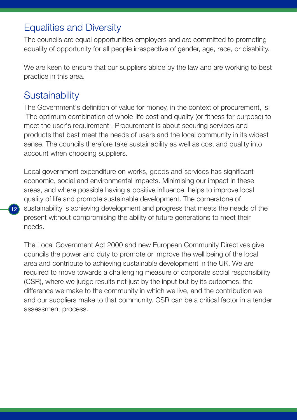## Equalities and Diversity

The councils are equal opportunities employers and are committed to promoting equality of opportunity for all people irrespective of gender, age, race, or disability.

We are keen to ensure that our suppliers abide by the law and are working to best practice in this area.

## **Sustainability**

 $12<sup>1</sup>$ 

The Government's definition of value for money, in the context of procurement, is: 'The optimum combination of whole-life cost and quality (or fitness for purpose) to meet the user's requirement'. Procurement is about securing services and products that best meet the needs of users and the local community in its widest sense. The councils therefore take sustainability as well as cost and quality into account when choosing suppliers.

Local government expenditure on works, goods and services has significant economic, social and environmental impacts. Minimising our impact in these areas, and where possible having a positive influence, helps to improve local quality of life and promote sustainable development. The cornerstone of sustainability is achieving development and progress that meets the needs of the present without compromising the ability of future generations to meet their needs.

The Local Government Act 2000 and new European Community Directives give councils the power and duty to promote or improve the well being of the local area and contribute to achieving sustainable development in the UK. We are required to move towards a challenging measure of corporate social responsibility (CSR), where we judge results not just by the input but by its outcomes: the difference we make to the community in which we live, and the contribution we and our suppliers make to that community. CSR can be a critical factor in a tender assessment process.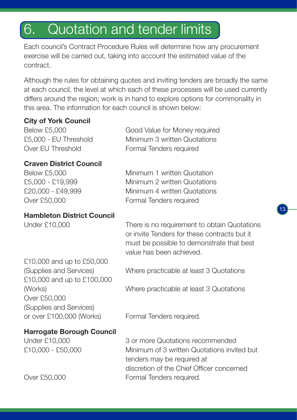## 6. Quotation and tender limits

Each council's Contract Procedure Rules will determine how any procurement exercise will be carried out, taking into account the estimated value of the contract.

Although the rules for obtaining quotes and inviting tenders are broadly the same at each council, the level at which each of these processes will be used currently differs around the region; work is in hand to explore options for commonality in this area. The information for each council is shown below:

### **City of York Council**

Below £5,000 Good Value for Money required £5,000 - EU Threshold Minimum 3 written Quotations Over EU Threshold Formal Tenders required

### **Craven District Council**

Below £5,000 Minimum 1 written Quotation £5,000 - £19,999 Minimum 2 written Quotations £20,000 - £49,999 Minimum 4 written Quotations Over £50,000 Formal Tenders required

#### **Hambleton District Council**

Under £10,000 There is no requirement to obtain Quotations or invite Tenders for these contracts but it must be possible to demonstrate that best value has been achieved.

13

£10,000 and up to £50,000 £10,000 and up to £100,000 Over £50,000 (Supplies and Services) or over £100,000 (Works) Formal Tenders required.

(Supplies and Services) Where practicable at least 3 Quotations

(Works) Where practicable at least 3 Quotations

### **Harrogate Borough Council**

Under £10,000 3 or more Quotations recommended £10,000 - £50,000 Minimum of 3 written Quotations invited but tenders may be required at discretion of the Chief Officer concerned Over £50,000 Formal Tenders required.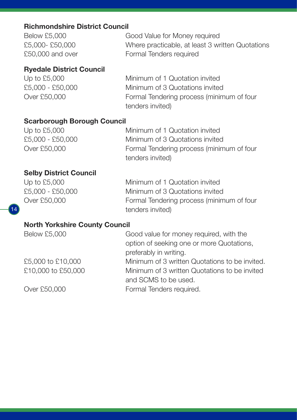### **Richmondshire District Council**

| <b>Below £5,000</b> | Good Value for Money required                    |
|---------------------|--------------------------------------------------|
| £5,000- £50,000     | Where practicable, at least 3 written Quotations |
| £50,000 and over    | Formal Tenders required                          |

### **Ryedale District Council**

Up to £5,000 Minimum of 1 Quotation invited £5,000 - £50,000 Minimum of 3 Quotations invited Over £50,000 Formal Tendering process (minimum of four tenders invited)

### **Scarborough Borough Council**

| Up to $£5,000$   | Minimum of 1 Quotation invited            |
|------------------|-------------------------------------------|
| £5,000 - £50,000 | Minimum of 3 Quotations invited           |
| Over £50,000     | Formal Tendering process (minimum of four |
|                  | tenders invited)                          |

### **Selby District Council**

Up to £5,000 Minimum of 1 Quotation invited £5,000 - £50,000 Minimum of 3 Quotations invited Over £50,000 Formal Tendering process (minimum of four tenders invited)

### **North Yorkshire County Council**

Below £5,000 Good value for money required, with the option of seeking one or more Quotations, preferably in writing.

£5,000 to £10,000 Minimum of 3 written Quotations to be invited. £10,000 to £50,000 Minimum of 3 written Quotations to be invited and SCMS to be used.

Over £50,000 Formal Tenders required.

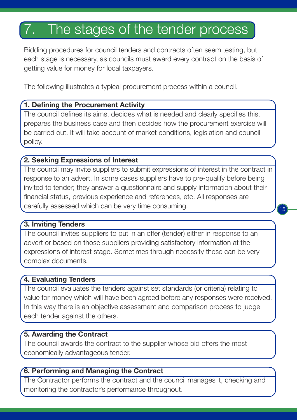## 7. The stages of the tender process

Bidding procedures for council tenders and contracts often seem testing, but each stage is necessary, as councils must award every contract on the basis of getting value for money for local taxpayers.

The following illustrates a typical procurement process within a council.

### **1. Defining the Procurement Activity**

The council defines its aims, decides what is needed and clearly specifies this, prepares the business case and then decides how the procurement exercise will be carried out. It will take account of market conditions, legislation and council policy.

### **2. Seeking Expressions of Interest**

The council may invite suppliers to submit expressions of interest in the contract in response to an advert. In some cases suppliers have to pre-qualify before being invited to tender; they answer a questionnaire and supply information about their financial status, previous experience and references, etc. All responses are carefully assessed which can be very time consuming.

15

### **3. Inviting Tenders**

The council invites suppliers to put in an offer (tender) either in response to an advert or based on those suppliers providing satisfactory information at the expressions of interest stage. Sometimes through necessity these can be very complex documents.

### **4. Evaluating Tenders**

The council evaluates the tenders against set standards (or criteria) relating to value for money which will have been agreed before any responses were received. In this way there is an objective assessment and comparison process to judge each tender against the others.

### **5. Awarding the Contract**

The council awards the contract to the supplier whose bid offers the most economically advantageous tender.

### **6. Performing and Managing the Contract**

The Contractor performs the contract and the council manages it, checking and monitoring the contractor's performance throughout.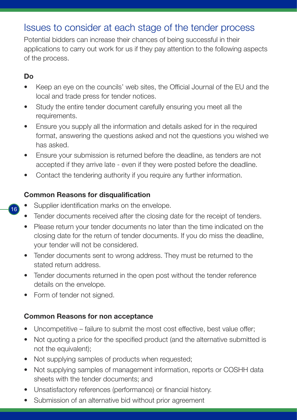## Issues to consider at each stage of the tender process

Potential bidders can increase their chances of being successful in their applications to carry out work for us if they pay attention to the following aspects of the process.

### **Do**

 $16$ 

- Keep an eye on the councils' web sites, the Official Journal of the EU and the local and trade press for tender notices.
- Study the entire tender document carefully ensuring you meet all the requirements.
- Ensure you supply all the information and details asked for in the required format, answering the questions asked and not the questions you wished we has asked.
- Ensure your submission is returned before the deadline, as tenders are not accepted if they arrive late - even if they were posted before the deadline.
- Contact the tendering authority if you require any further information.

### **Common Reasons for disqualification**

- Supplier identification marks on the envelope.
- Tender documents received after the closing date for the receipt of tenders.
- Please return your tender documents no later than the time indicated on the closing date for the return of tender documents. If you do miss the deadline, your tender will not be considered.
- Tender documents sent to wrong address. They must be returned to the stated return address.
- Tender documents returned in the open post without the tender reference details on the envelope.
- Form of tender not signed.

### **Common Reasons for non acceptance**

- Uncompetitive failure to submit the most cost effective, best value offer;
- Not quoting a price for the specified product (and the alternative submitted is not the equivalent);
- Not supplying samples of products when requested;
- Not supplying samples of management information, reports or COSHH data sheets with the tender documents; and
- Unsatisfactory references (performance) or financial history.
- Submission of an alternative bid without prior agreement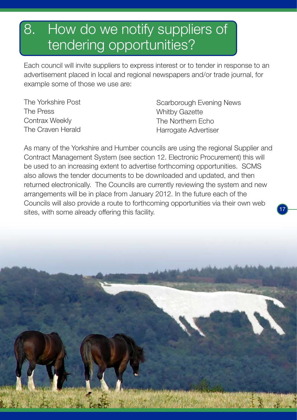## 8. How do we notify suppliers of tendering opportunities?

Each council will invite suppliers to express interest or to tender in response to an advertisement placed in local and regional newspapers and/or trade journal, for example some of those we use are:

The Yorkshire Post The Press Contrax Weekly The Craven Herald Scarborough Evening News Whitby Gazette The Northern Echo Harrogate Advertiser

17

As many of the Yorkshire and Humber councils are using the regional Supplier and Contract Management System (see section 12. Electronic Procurement) this will be used to an increasing extent to advertise forthcoming opportunities. SCMS also allows the tender documents to be downloaded and updated, and then returned electronically. The Councils are currently reviewing the system and new arrangements will be in place from January 2012. In the future each of the Councils will also provide a route to forthcoming opportunities via their own web sites, with some already offering this facility.

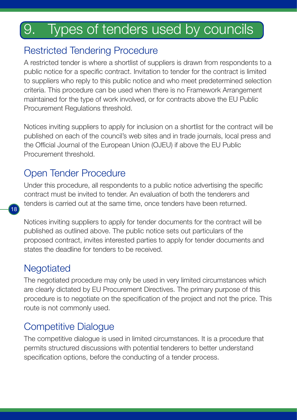## 9. Types of tenders used by councils

## Restricted Tendering Procedure

A restricted tender is where a shortlist of suppliers is drawn from respondents to a public notice for a specific contract. Invitation to tender for the contract is limited to suppliers who reply to this public notice and who meet predetermined selection criteria. This procedure can be used when there is no Framework Arrangement maintained for the type of work involved, or for contracts above the EU Public Procurement Regulations threshold.

Notices inviting suppliers to apply for inclusion on a shortlist for the contract will be published on each of the council's web sites and in trade journals, local press and the Official Journal of the European Union (OJEU) if above the EU Public Procurement threshold.

## Open Tender Procedure

Under this procedure, all respondents to a public notice advertising the specific contract must be invited to tender. An evaluation of both the tenderers and tenders is carried out at the same time, once tenders have been returned.

Notices inviting suppliers to apply for tender documents for the contract will be published as outlined above. The public notice sets out particulars of the proposed contract, invites interested parties to apply for tender documents and states the deadline for tenders to be received.

## **Negotiated**

 $18<sup>°</sup>$ 

The negotiated procedure may only be used in very limited circumstances which are clearly dictated by EU Procurement Directives. The primary purpose of this procedure is to negotiate on the specification of the project and not the price. This route is not commonly used.

## Competitive Dialogue

The competitive dialogue is used in limited circumstances. It is a procedure that permits structured discussions with potential tenderers to better understand specification options, before the conducting of a tender process.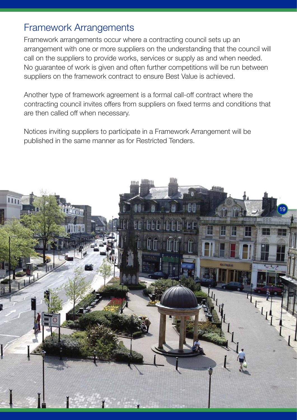## Framework Arrangements

Framework arrangements occur where a contracting council sets up an arrangement with one or more suppliers on the understanding that the council will call on the suppliers to provide works, services or supply as and when needed. No guarantee of work is given and often further competitions will be run between suppliers on the framework contract to ensure Best Value is achieved.

Another type of framework agreement is a formal call-off contract where the contracting council invites offers from suppliers on fixed terms and conditions that are then called off when necessary.

Notices inviting suppliers to participate in a Framework Arrangement will be published in the same manner as for Restricted Tenders.

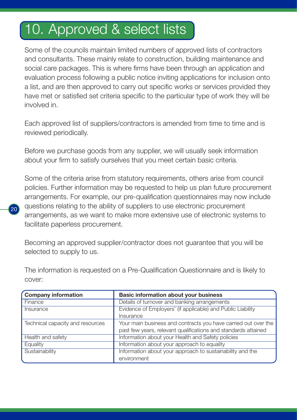## 10. Approved & select lists

Some of the councils maintain limited numbers of approved lists of contractors and consultants. These mainly relate to construction, building maintenance and social care packages. This is where firms have been through an application and evaluation process following a public notice inviting applications for inclusion onto a list, and are then approved to carry out specific works or services provided they have met or satisfied set criteria specific to the particular type of work they will be involved in.

Each approved list of suppliers/contractors is amended from time to time and is reviewed periodically.

Before we purchase goods from any supplier, we will usually seek information about your firm to satisfy ourselves that you meet certain basic criteria.

Some of the criteria arise from statutory requirements, others arise from council policies. Further information may be requested to help us plan future procurement arrangements. For example, our pre-qualification questionnaires may now include questions relating to the ability of suppliers to use electronic procurement arrangements, as we want to make more extensive use of electronic systems to facilitate paperless procurement.

Becoming an approved supplier/contractor does not guarantee that you will be selected to supply to us.

The information is requested on a Pre-Qualification Questionnaire and is likely to cover:

| <b>Company information</b>       | <b>Basic information about your business</b>                   |
|----------------------------------|----------------------------------------------------------------|
| Finance                          | Details of turnover and banking arrangements                   |
| Insurance                        | Evidence of Employers' (if applicable) and Public Liability    |
|                                  | Insurance                                                      |
| Technical capacity and resources | Your main business and contracts you have carried out over the |
|                                  | past few years, relevant qualifications and standards attained |
| Health and safety                | Information about your Health and Safety policies              |
| Equality                         | Information about your approach to equality                    |
| Sustainability                   | Information about your approach to sustainability and the      |
|                                  | environment                                                    |

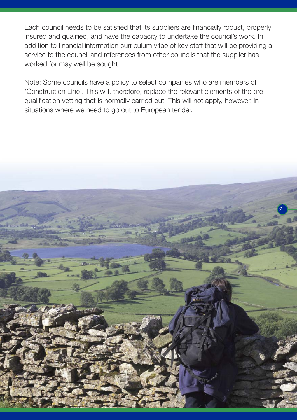Each council needs to be satisfied that its suppliers are financially robust, properly insured and qualified, and have the capacity to undertake the council's work. In addition to financial information curriculum vitae of key staff that will be providing a service to the council and references from other councils that the supplier has worked for may well be sought.

Note: Some councils have a policy to select companies who are members of 'Construction Line'. This will, therefore, replace the relevant elements of the prequalification vetting that is normally carried out. This will not apply, however, in situations where we need to go out to European tender.

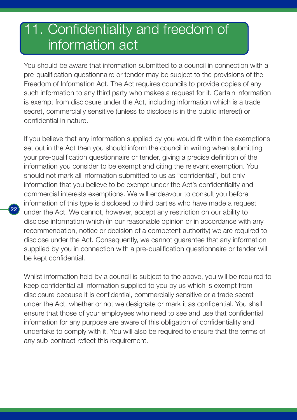## 1. Confidentiality and freedom of information act

You should be aware that information submitted to a council in connection with a pre-qualification questionnaire or tender may be subject to the provisions of the Freedom of Information Act. The Act requires councils to provide copies of any such information to any third party who makes a request for it. Certain information is exempt from disclosure under the Act, including information which is a trade secret, commercially sensitive (unless to disclose is in the public interest) or confidential in nature.

If you believe that any information supplied by you would fit within the exemptions set out in the Act then you should inform the council in writing when submitting your pre-qualification questionnaire or tender, giving a precise definition of the information you consider to be exempt and citing the relevant exemption. You should not mark all information submitted to us as "confidential", but only information that you believe to be exempt under the Act's confidentiality and commercial interests exemptions. We will endeavour to consult you before information of this type is disclosed to third parties who have made a request under the Act. We cannot, however, accept any restriction on our ability to disclose information which (in our reasonable opinion or in accordance with any recommendation, notice or decision of a competent authority) we are required to disclose under the Act. Consequently, we cannot guarantee that any information supplied by you in connection with a pre-qualification questionnaire or tender will be kept confidential.

22

Whilst information held by a council is subject to the above, you will be required to keep confidential all information supplied to you by us which is exempt from disclosure because it is confidential, commercially sensitive or a trade secret under the Act, whether or not we designate or mark it as confidential. You shall ensure that those of your employees who need to see and use that confidential information for any purpose are aware of this obligation of confidentiality and undertake to comply with it. You will also be required to ensure that the terms of any sub-contract reflect this requirement.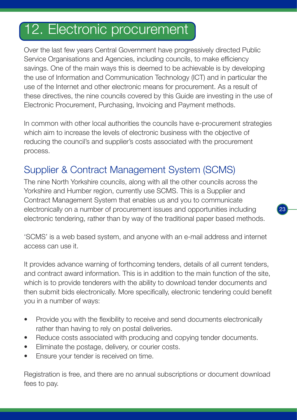## 12. Electronic procurement

Over the last few years Central Government have progressively directed Public Service Organisations and Agencies, including councils, to make efficiency savings. One of the main ways this is deemed to be achievable is by developing the use of Information and Communication Technology (ICT) and in particular the use of the Internet and other electronic means for procurement. As a result of these directives, the nine councils covered by this Guide are investing in the use of Electronic Procurement, Purchasing, Invoicing and Payment methods.

In common with other local authorities the councils have e-procurement strategies which aim to increase the levels of electronic business with the objective of reducing the council's and supplier's costs associated with the procurement process.

## Supplier & Contract Management System (SCMS)

The nine North Yorkshire councils, along with all the other councils across the Yorkshire and Humber region, currently use SCMS. This is a Supplier and Contract Management System that enables us and you to communicate electronically on a number of procurement issues and opportunities including electronic tendering, rather than by way of the traditional paper based methods.

23

'SCMS' is a web based system, and anyone with an e-mail address and internet access can use it.

It provides advance warning of forthcoming tenders, details of all current tenders, and contract award information. This is in addition to the main function of the site, which is to provide tenderers with the ability to download tender documents and then submit bids electronically. More specifically, electronic tendering could benefit you in a number of ways:

- Provide you with the flexibility to receive and send documents electronically rather than having to rely on postal deliveries.
- Reduce costs associated with producing and copying tender documents.
- Eliminate the postage, delivery, or courier costs.
- Ensure your tender is received on time.

Registration is free, and there are no annual subscriptions or document download fees to pay.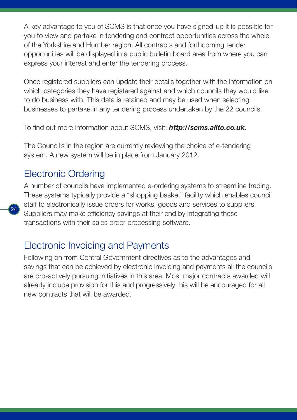A key advantage to you of SCMS is that once you have signed-up it is possible for you to view and partake in tendering and contract opportunities across the whole of the Yorkshire and Humber region. All contracts and forthcoming tender opportunities will be displayed in a public bulletin board area from where you can express your interest and enter the tendering process.

Once registered suppliers can update their details together with the information on which categories they have registered against and which councils they would like to do business with. This data is retained and may be used when selecting businesses to partake in any tendering process undertaken by the 22 councils.

To find out more information about SCMS, visit: *http://scms.alito.co.uk.*

The Council's in the region are currently reviewing the choice of e-tendering system. A new system will be in place from January 2012.

## Electronic Ordering

 $\sigma_A$ 

A number of councils have implemented e-ordering systems to streamline trading. These systems typically provide a "shopping basket" facility which enables council staff to electronically issue orders for works, goods and services to suppliers. Suppliers may make efficiency savings at their end by integrating these transactions with their sales order processing software.

## Electronic Invoicing and Payments

Following on from Central Government directives as to the advantages and savings that can be achieved by electronic invoicing and payments all the councils are pro-actively pursuing initiatives in this area. Most major contracts awarded will already include provision for this and progressively this will be encouraged for all new contracts that will be awarded.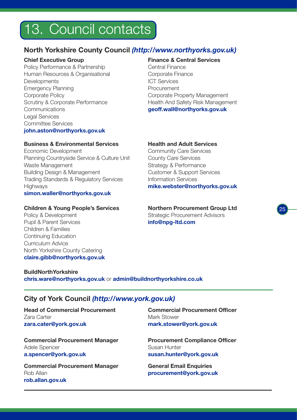## 13. Council contacts

### **North Yorkshire County Council** *(http://www.northyorks.gov.uk)*

#### **Chief Executive Group**

Policy Performance & Partnership Human Resources & Organisational **Developments** Emergency Planning Corporate Policy Scrutiny & Corporate Performance Communications Legal Services Committee Services **john.aston@northyorks.gov.uk** 

#### **Finance & Central Services**

Central Finance Corporate Finance ICT Services **Procurement** Corporate Property Management Health And Safety Risk Management **geoff.wall@northyorks.gov.uk**

#### **Business & Environmental Services**

Economic Development Planning Countryside Service & Culture Unit Waste Management Building Design & Management Trading Standards & Regulatory Services **Highways simon.waller@northyorks.gov.uk** 

#### **Children & Young People's Services**

Policy & Development Pupil & Parent Services Children & Families Continuing Education Curriculum Advice North Yorkshire County Catering **claire.gibb@northyorks.gov.uk**

#### **Health and Adult Services**

Community Care Services County Care Services Strategy & Performance Customer & Support Services Information Services **mike.webster@northyorks.gov.uk**

**Northern Procurement Group Ltd** Strategic Procurement Advisors **info@npg-ltd.com**

25

**BuildNorthYorkshire chris.ware@northyorks.gov.uk** or **admin@buildnorthyorkshire.co.uk**

### **City of York Council** *(http://www.york.gov.uk)*

**Head of Commercial Procurement** Zara Carter **zara.cater@york.gov.uk**

**Commercial Procurement Manager** Adele Spencer **a.spencer@york.gov.uk**

**Commercial Procurement Manager** Rob Allan **rob.allan.gov.uk**

**Commercial Procurement Officer** Mark Stower **mark.stower@york.gov.uk**

**Procurement Compliance Officer** Susan Hunter **susan.hunter@york.gov.uk**

**General Email Enquiries procurement@york.gov.uk**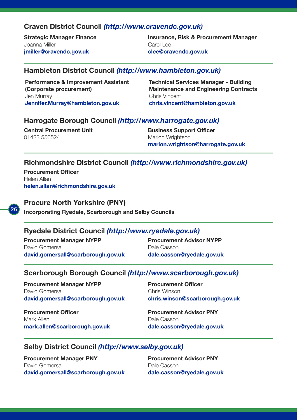#### **Craven District Council** *(http://www.cravendc.gov.uk)*

**Strategic Manager Finance** Joanna Miller **jmiller@cravendc.gov.uk**

**Insurance, Risk & Procurement Manager** Carol Lee **clee@cravendc.gov.uk**

#### **Hambleton District Council** *(http://www.hambleton.gov.uk)*

**Performance & Improvement Assistant (Corporate procurement)** Jen Murray **Jennifer.Murray@hambleton.gov.uk** 

**Technical Services Manager - Building Maintenance and Engineering Contracts** Chris Vincent **chris.vincent@hambleton.gov.uk**

#### **Harrogate Borough Council** *(http://www.harrogate.gov.uk)*

**Central Procurement Unit** 01423 556524

**Business Support Officer** Marion Wrightson **marion.wrightson@harrogate.gov.uk**

#### **Richmondshire District Council** *(http://www.richmondshire.gov.uk)*

**Procurement Officer** Helen Allan **helen.allan@richmondshire.gov.uk**



#### **Procure North Yorkshire (PNY)**

**Incorporating Ryedale, Scarborough and Selby Councils**

#### **Ryedale District Council** *(http://www.ryedale.gov.uk)*

**Procurement Manager NYPP**  David Gomersall **david.gomersall@scarborough.gov.uk**  **Procurement Advisor NYPP** Dale Casson **dale.casson@ryedale.gov.uk**

#### **Scarborough Borough Council** *(http://www.scarborough.gov.uk)*

**Procurement Manager NYPP** David Gomersall **david.gomersall@scarborough.gov.uk** 

**Procurement Officer** Mark Allen **mark.allen@scarborough.gov.uk**  **Procurement Officer** Chris Winson **chris.winson@scarborough.gov.uk**

**Procurement Advisor PNY** Dale Casson **dale.casson@ryedale.gov.uk**

#### **Selby District Council** *(http://www.selby.gov.uk)*

**Procurement Manager PNY** David Gomersall **david.gomersall@scarborough.gov.uk** **Procurement Advisor PNY** Dale Casson **dale.casson@ryedale.gov.uk**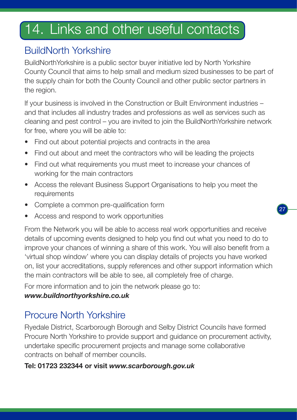## 14. Links and other useful contacts

## BuildNorth Yorkshire

BuildNorthYorkshire is a public sector buyer initiative led by North Yorkshire County Council that aims to help small and medium sized businesses to be part of the supply chain for both the County Council and other public sector partners in the region.

If your business is involved in the Construction or Built Environment industries – and that includes all industry trades and professions as well as services such as cleaning and pest control – you are invited to join the BuildNorthYorkshire network for free, where you will be able to:

- Find out about potential projects and contracts in the area
- Find out about and meet the contractors who will be leading the projects
- Find out what requirements you must meet to increase your chances of working for the main contractors
- Access the relevant Business Support Organisations to help you meet the requirements
- Complete a common pre-qualification form
- Access and respond to work opportunities

From the Network you will be able to access real work opportunities and receive details of upcoming events designed to help you find out what you need to do to improve your chances of winning a share of this work. You will also benefit from a 'virtual shop window' where you can display details of projects you have worked on, list your accreditations, supply references and other support information which the main contractors will be able to see, all completely free of charge.

For more information and to join the network please go to:

## *www.buildnorthyorkshire.co.uk*

## Procure North Yorkshire

Ryedale District, Scarborough Borough and Selby District Councils have formed Procure North Yorkshire to provide support and guidance on procurement activity, undertake specific procurement projects and manage some collaborative contracts on behalf of member councils.

## **Tel: 01723 232344 or visit** *www.scarborough.gov.uk*